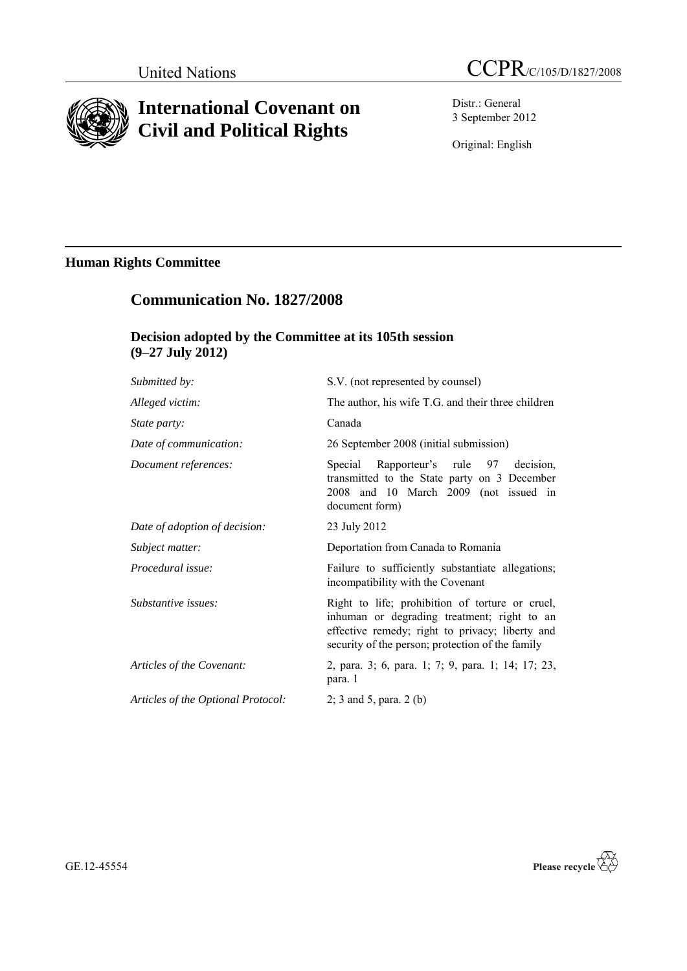

# **International Covenant on Civil and Political Rights**

Distr.: General 3 September 2012

Original: English

## **Human Rights Committee**

## **Communication No. 1827/2008**

## **Decision adopted by the Committee at its 105th session (9–27 July 2012)**

| Submitted by:                      | S.V. (not represented by counsel)                                                                                                                                                                     |
|------------------------------------|-------------------------------------------------------------------------------------------------------------------------------------------------------------------------------------------------------|
| Alleged victim:                    | The author, his wife T.G. and their three children                                                                                                                                                    |
| State party:                       | Canada                                                                                                                                                                                                |
| Date of communication:             | 26 September 2008 (initial submission)                                                                                                                                                                |
| Document references:               | Special Rapporteur's rule 97 decision,<br>transmitted to the State party on 3 December<br>2008 and 10 March 2009 (not issued in<br>document form)                                                     |
| Date of adoption of decision:      | 23 July 2012                                                                                                                                                                                          |
| Subject matter:                    | Deportation from Canada to Romania                                                                                                                                                                    |
| Procedural issue:                  | Failure to sufficiently substantiate allegations;<br>incompatibility with the Covenant                                                                                                                |
| Substantive issues:                | Right to life; prohibition of torture or cruel,<br>inhuman or degrading treatment; right to an<br>effective remedy; right to privacy; liberty and<br>security of the person; protection of the family |
| Articles of the Covenant:          | 2, para. 3; 6, para. 1; 7; 9, para. 1; 14; 17; 23,<br>para. 1                                                                                                                                         |
| Articles of the Optional Protocol: | 2; 3 and 5, para. $2$ (b)                                                                                                                                                                             |

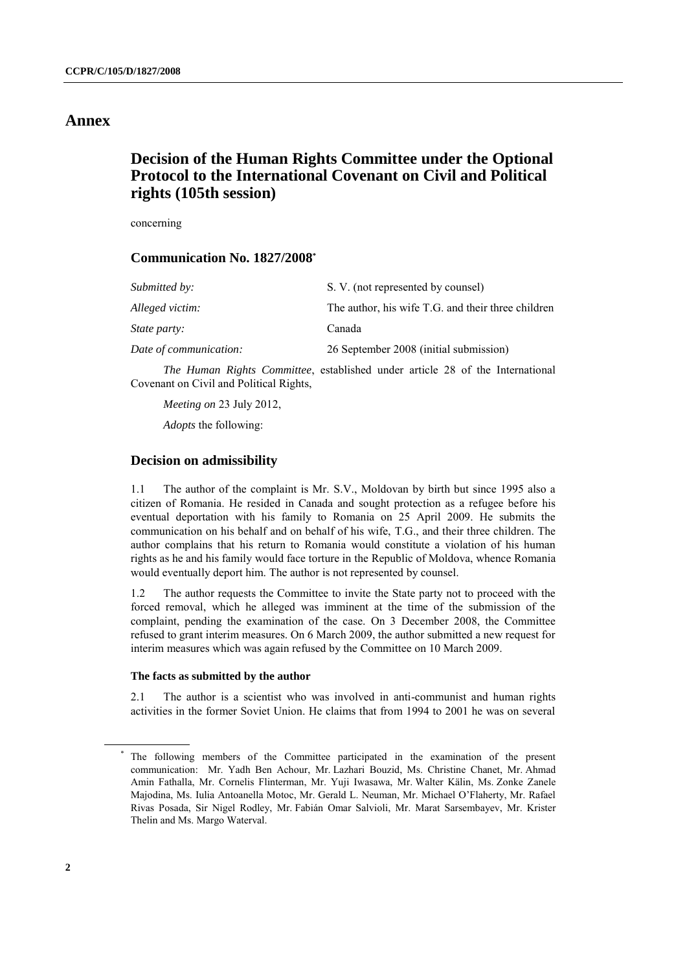### **Annex**

## **Decision of the Human Rights Committee under the Optional Protocol to the International Covenant on Civil and Political rights (105th session)**

concerning

#### **Communication No. 1827/2008 \***

| S. V. (not represented by counsel)                 |
|----------------------------------------------------|
| The author, his wife T.G. and their three children |
| Canada                                             |
| 26 September 2008 (initial submission)             |
|                                                    |

*The Human Rights Committee*, established under article 28 of the International Covenant on Civil and Political Rights,

*Meeting on* 23 July 2012,

*Adopts* the following:

#### **Decision on admissibility**

1.1 The author of the complaint is Mr. S.V., Moldovan by birth but since 1995 also a citizen of Romania. He resided in Canada and sought protection as a refugee before his eventual deportation with his family to Romania on 25 April 2009. He submits the communication on his behalf and on behalf of his wife, T.G., and their three children. The author complains that his return to Romania would constitute a violation of his human rights as he and his family would face torture in the Republic of Moldova, whence Romania would eventually deport him. The author is not represented by counsel.

1.2 The author requests the Committee to invite the State party not to proceed with the forced removal, which he alleged was imminent at the time of the submission of the complaint, pending the examination of the case. On 3 December 2008, the Committee refused to grant interim measures. On 6 March 2009, the author submitted a new request for interim measures which was again refused by the Committee on 10 March 2009.

#### **The facts as submitted by the author**

2.1 The author is a scientist who was involved in anti-communist and human rights activities in the former Soviet Union. He claims that from 1994 to 2001 he was on several

The following members of the Committee participated in the examination of the present communication: Mr. Yadh Ben Achour, Mr. Lazhari Bouzid, Ms. Christine Chanet, Mr. Ahmad Amin Fathalla, Mr. Cornelis Flinterman, Mr. Yuji Iwasawa, Mr. Walter Kälin, Ms. Zonke Zanele Majodina, Ms. Iulia Antoanella Motoc, Mr. Gerald L. Neuman, Mr. Michael O'Flaherty, Mr. Rafael Rivas Posada, Sir Nigel Rodley, Mr. Fabián Omar Salvioli, Mr. Marat Sarsembayev, Mr. Krister Thelin and Ms. Margo Waterval.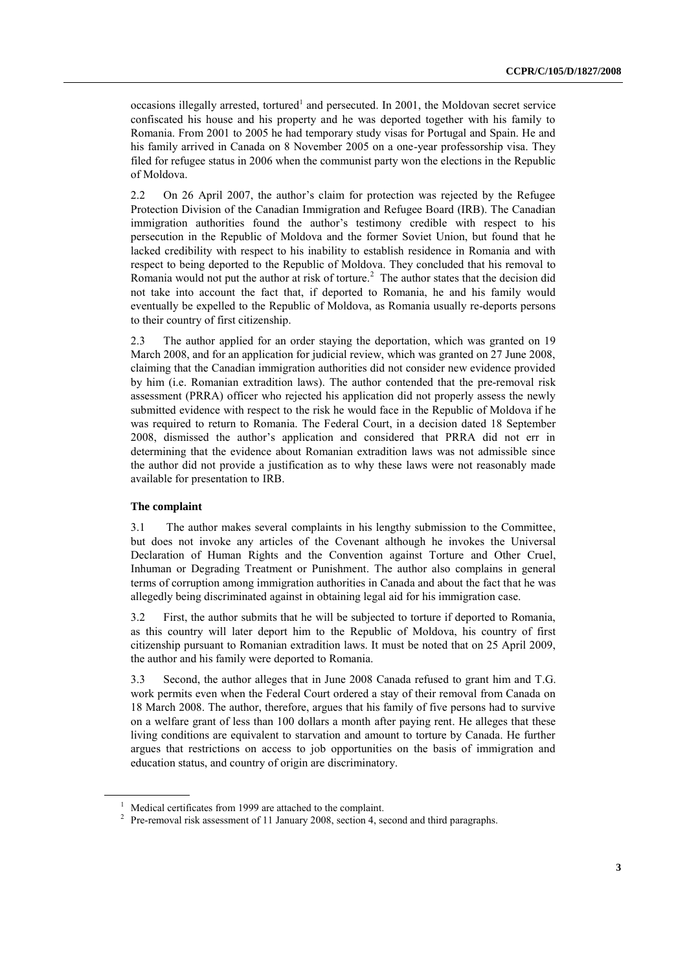occasions illegally arrested, tortured<sup>1</sup> and persecuted. In 2001, the Moldovan secret service confiscated his house and his property and he was deported together with his family to Romania. From 2001 to 2005 he had temporary study visas for Portugal and Spain. He and his family arrived in Canada on 8 November 2005 on a one-year professorship visa. They filed for refugee status in 2006 when the communist party won the elections in the Republic of Moldova.

2.2 On 26 April 2007, the author's claim for protection was rejected by the Refugee Protection Division of the Canadian Immigration and Refugee Board (IRB). The Canadian immigration authorities found the author's testimony credible with respect to his persecution in the Republic of Moldova and the former Soviet Union, but found that he lacked credibility with respect to his inability to establish residence in Romania and with respect to being deported to the Republic of Moldova. They concluded that his removal to Romania would not put the author at risk of torture.<sup>2</sup> The author states that the decision did not take into account the fact that, if deported to Romania, he and his family would eventually be expelled to the Republic of Moldova, as Romania usually re-deports persons to their country of first citizenship.

2.3 The author applied for an order staying the deportation, which was granted on 19 March 2008, and for an application for judicial review, which was granted on 27 June 2008, claiming that the Canadian immigration authorities did not consider new evidence provided by him (i.e. Romanian extradition laws). The author contended that the pre-removal risk assessment (PRRA) officer who rejected his application did not properly assess the newly submitted evidence with respect to the risk he would face in the Republic of Moldova if he was required to return to Romania. The Federal Court, in a decision dated 18 September 2008, dismissed the author's application and considered that PRRA did not err in determining that the evidence about Romanian extradition laws was not admissible since the author did not provide a justification as to why these laws were not reasonably made available for presentation to IRB.

#### **The complaint**

3.1 The author makes several complaints in his lengthy submission to the Committee, but does not invoke any articles of the Covenant although he invokes the Universal Declaration of Human Rights and the Convention against Torture and Other Cruel, Inhuman or Degrading Treatment or Punishment. The author also complains in general terms of corruption among immigration authorities in Canada and about the fact that he was allegedly being discriminated against in obtaining legal aid for his immigration case.

3.2 First, the author submits that he will be subjected to torture if deported to Romania, as this country will later deport him to the Republic of Moldova, his country of first citizenship pursuant to Romanian extradition laws. It must be noted that on 25 April 2009, the author and his family were deported to Romania.

3.3 Second, the author alleges that in June 2008 Canada refused to grant him and T.G. work permits even when the Federal Court ordered a stay of their removal from Canada on 18 March 2008. The author, therefore, argues that his family of five persons had to survive on a welfare grant of less than 100 dollars a month after paying rent. He alleges that these living conditions are equivalent to starvation and amount to torture by Canada. He further argues that restrictions on access to job opportunities on the basis of immigration and education status, and country of origin are discriminatory.

<sup>&</sup>lt;sup>1</sup> Medical certificates from 1999 are attached to the complaint.

<sup>&</sup>lt;sup>2</sup> Pre-removal risk assessment of 11 January 2008, section 4, second and third paragraphs.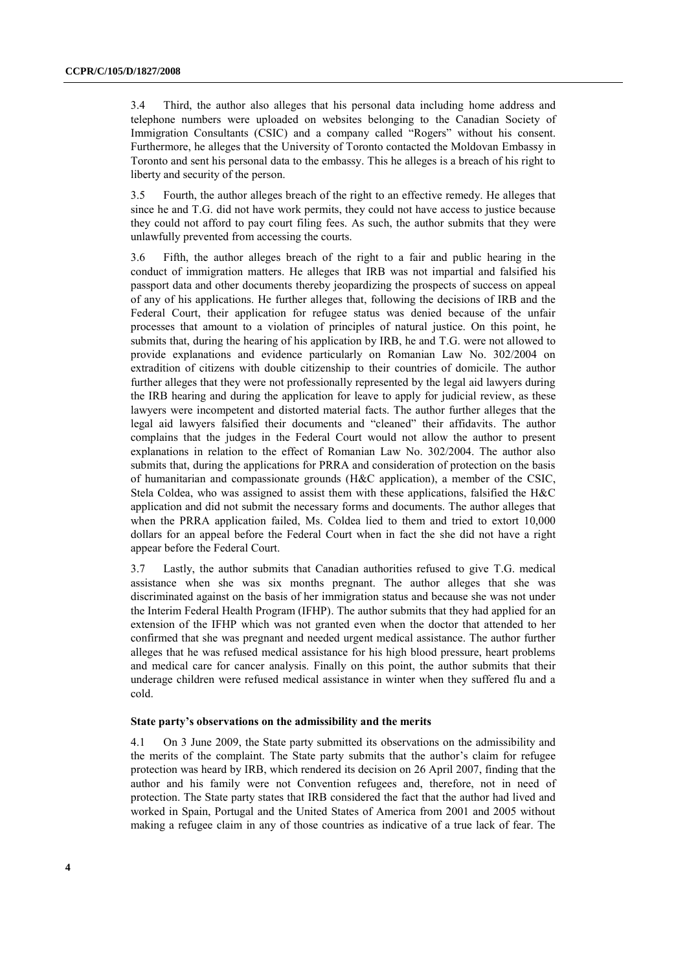3.4 Third, the author also alleges that his personal data including home address and telephone numbers were uploaded on websites belonging to the Canadian Society of Immigration Consultants (CSIC) and a company called "Rogers" without his consent. Furthermore, he alleges that the University of Toronto contacted the Moldovan Embassy in Toronto and sent his personal data to the embassy. This he alleges is a breach of his right to liberty and security of the person.

3.5 Fourth, the author alleges breach of the right to an effective remedy. He alleges that since he and T.G. did not have work permits, they could not have access to justice because they could not afford to pay court filing fees. As such, the author submits that they were unlawfully prevented from accessing the courts.

3.6 Fifth, the author alleges breach of the right to a fair and public hearing in the conduct of immigration matters. He alleges that IRB was not impartial and falsified his passport data and other documents thereby jeopardizing the prospects of success on appeal of any of his applications. He further alleges that, following the decisions of IRB and the Federal Court, their application for refugee status was denied because of the unfair processes that amount to a violation of principles of natural justice. On this point, he submits that, during the hearing of his application by IRB, he and T.G. were not allowed to provide explanations and evidence particularly on Romanian Law No. 302/2004 on extradition of citizens with double citizenship to their countries of domicile. The author further alleges that they were not professionally represented by the legal aid lawyers during the IRB hearing and during the application for leave to apply for judicial review, as these lawyers were incompetent and distorted material facts. The author further alleges that the legal aid lawyers falsified their documents and "cleaned" their affidavits. The author complains that the judges in the Federal Court would not allow the author to present explanations in relation to the effect of Romanian Law No. 302/2004. The author also submits that, during the applications for PRRA and consideration of protection on the basis of humanitarian and compassionate grounds (H&C application), a member of the CSIC, Stela Coldea, who was assigned to assist them with these applications, falsified the H&C application and did not submit the necessary forms and documents. The author alleges that when the PRRA application failed, Ms. Coldea lied to them and tried to extort 10,000 dollars for an appeal before the Federal Court when in fact the she did not have a right appear before the Federal Court.

3.7 Lastly, the author submits that Canadian authorities refused to give T.G. medical assistance when she was six months pregnant. The author alleges that she was discriminated against on the basis of her immigration status and because she was not under the Interim Federal Health Program (IFHP). The author submits that they had applied for an extension of the IFHP which was not granted even when the doctor that attended to her confirmed that she was pregnant and needed urgent medical assistance. The author further alleges that he was refused medical assistance for his high blood pressure, heart problems and medical care for cancer analysis. Finally on this point, the author submits that their underage children were refused medical assistance in winter when they suffered flu and a cold.

#### **State party's observations on the admissibility and the merits**

4.1 On 3 June 2009, the State party submitted its observations on the admissibility and the merits of the complaint. The State party submits that the author's claim for refugee protection was heard by IRB, which rendered its decision on 26 April 2007, finding that the author and his family were not Convention refugees and, therefore, not in need of protection. The State party states that IRB considered the fact that the author had lived and worked in Spain, Portugal and the United States of America from 2001 and 2005 without making a refugee claim in any of those countries as indicative of a true lack of fear. The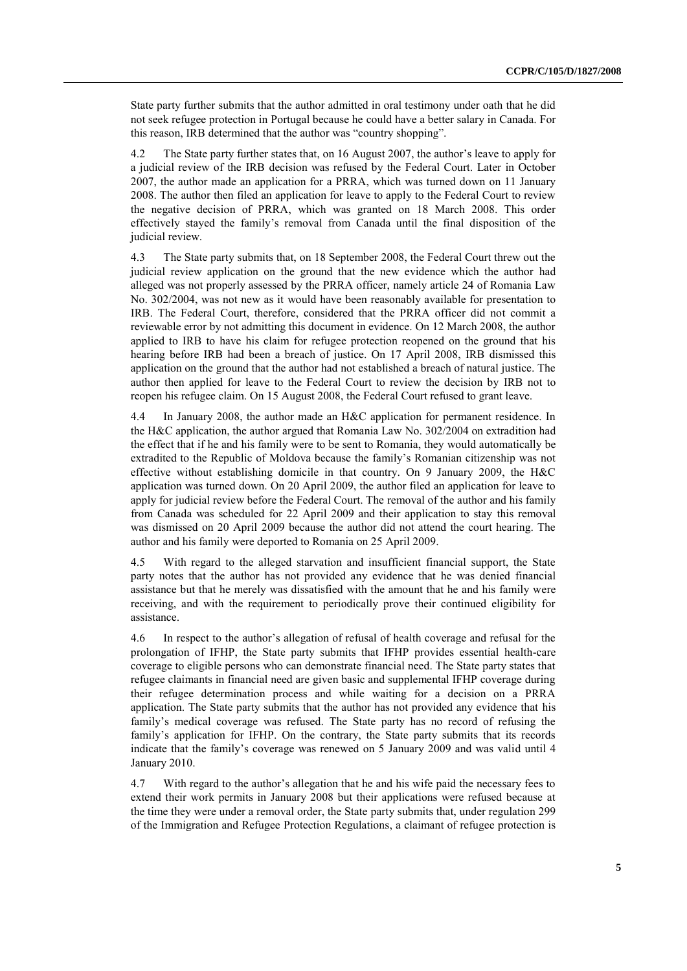State party further submits that the author admitted in oral testimony under oath that he did not seek refugee protection in Portugal because he could have a better salary in Canada. For this reason, IRB determined that the author was "country shopping".

4.2 The State party further states that, on 16 August 2007, the author's leave to apply for a judicial review of the IRB decision was refused by the Federal Court. Later in October 2007, the author made an application for a PRRA, which was turned down on 11 January 2008. The author then filed an application for leave to apply to the Federal Court to review the negative decision of PRRA, which was granted on 18 March 2008. This order effectively stayed the family's removal from Canada until the final disposition of the judicial review.

4.3 The State party submits that, on 18 September 2008, the Federal Court threw out the judicial review application on the ground that the new evidence which the author had alleged was not properly assessed by the PRRA officer, namely article 24 of Romania Law No. 302/2004, was not new as it would have been reasonably available for presentation to IRB. The Federal Court, therefore, considered that the PRRA officer did not commit a reviewable error by not admitting this document in evidence. On 12 March 2008, the author applied to IRB to have his claim for refugee protection reopened on the ground that his hearing before IRB had been a breach of justice. On 17 April 2008, IRB dismissed this application on the ground that the author had not established a breach of natural justice. The author then applied for leave to the Federal Court to review the decision by IRB not to reopen his refugee claim. On 15 August 2008, the Federal Court refused to grant leave.

4.4 In January 2008, the author made an H&C application for permanent residence. In the H&C application, the author argued that Romania Law No. 302/2004 on extradition had the effect that if he and his family were to be sent to Romania, they would automatically be extradited to the Republic of Moldova because the family's Romanian citizenship was not effective without establishing domicile in that country. On 9 January 2009, the H&C application was turned down. On 20 April 2009, the author filed an application for leave to apply for judicial review before the Federal Court. The removal of the author and his family from Canada was scheduled for 22 April 2009 and their application to stay this removal was dismissed on 20 April 2009 because the author did not attend the court hearing. The author and his family were deported to Romania on 25 April 2009.

4.5 With regard to the alleged starvation and insufficient financial support, the State party notes that the author has not provided any evidence that he was denied financial assistance but that he merely was dissatisfied with the amount that he and his family were receiving, and with the requirement to periodically prove their continued eligibility for assistance.

4.6 In respect to the author's allegation of refusal of health coverage and refusal for the prolongation of IFHP, the State party submits that IFHP provides essential health-care coverage to eligible persons who can demonstrate financial need. The State party states that refugee claimants in financial need are given basic and supplemental IFHP coverage during their refugee determination process and while waiting for a decision on a PRRA application. The State party submits that the author has not provided any evidence that his family's medical coverage was refused. The State party has no record of refusing the family's application for IFHP. On the contrary, the State party submits that its records indicate that the family's coverage was renewed on 5 January 2009 and was valid until 4 January 2010.

4.7 With regard to the author's allegation that he and his wife paid the necessary fees to extend their work permits in January 2008 but their applications were refused because at the time they were under a removal order, the State party submits that, under regulation 299 of the Immigration and Refugee Protection Regulations, a claimant of refugee protection is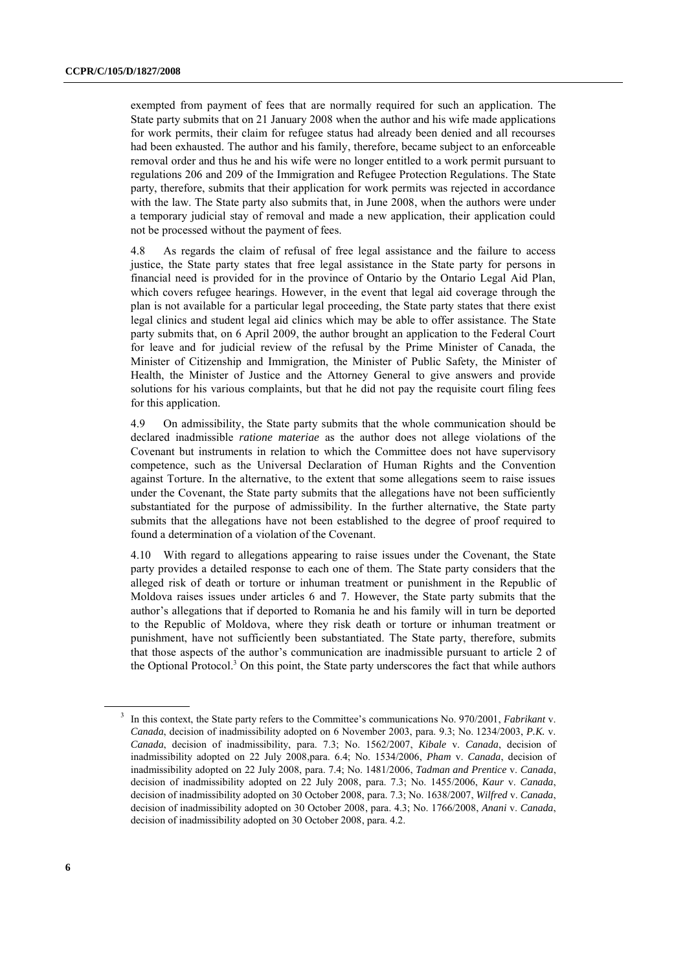exempted from payment of fees that are normally required for such an application. The State party submits that on 21 January 2008 when the author and his wife made applications for work permits, their claim for refugee status had already been denied and all recourses had been exhausted. The author and his family, therefore, became subject to an enforceable removal order and thus he and his wife were no longer entitled to a work permit pursuant to regulations 206 and 209 of the Immigration and Refugee Protection Regulations. The State party, therefore, submits that their application for work permits was rejected in accordance with the law. The State party also submits that, in June 2008, when the authors were under a temporary judicial stay of removal and made a new application, their application could not be processed without the payment of fees.

4.8 As regards the claim of refusal of free legal assistance and the failure to access justice, the State party states that free legal assistance in the State party for persons in financial need is provided for in the province of Ontario by the Ontario Legal Aid Plan, which covers refugee hearings. However, in the event that legal aid coverage through the plan is not available for a particular legal proceeding, the State party states that there exist legal clinics and student legal aid clinics which may be able to offer assistance. The State party submits that, on 6 April 2009, the author brought an application to the Federal Court for leave and for judicial review of the refusal by the Prime Minister of Canada, the Minister of Citizenship and Immigration, the Minister of Public Safety, the Minister of Health, the Minister of Justice and the Attorney General to give answers and provide solutions for his various complaints, but that he did not pay the requisite court filing fees for this application.

4.9 On admissibility, the State party submits that the whole communication should be declared inadmissible *ratione materiae* as the author does not allege violations of the Covenant but instruments in relation to which the Committee does not have supervisory competence, such as the Universal Declaration of Human Rights and the Convention against Torture. In the alternative, to the extent that some allegations seem to raise issues under the Covenant, the State party submits that the allegations have not been sufficiently substantiated for the purpose of admissibility. In the further alternative, the State party submits that the allegations have not been established to the degree of proof required to found a determination of a violation of the Covenant.

4.10 With regard to allegations appearing to raise issues under the Covenant, the State party provides a detailed response to each one of them. The State party considers that the alleged risk of death or torture or inhuman treatment or punishment in the Republic of Moldova raises issues under articles 6 and 7. However, the State party submits that the author's allegations that if deported to Romania he and his family will in turn be deported to the Republic of Moldova, where they risk death or torture or inhuman treatment or punishment, have not sufficiently been substantiated. The State party, therefore, submits that those aspects of the author's communication are inadmissible pursuant to article 2 of the Optional Protocol. $3$  On this point, the State party underscores the fact that while authors

<sup>3</sup> In this context, the State party refers to the Committee's communications No. 970/2001, *Fabrikant* v. *Canada*, decision of inadmissibility adopted on 6 November 2003, para. 9.3; No. 1234/2003, *P.K.* v. *Canada*, decision of inadmissibility, para. 7.3; No. 1562/2007, *Kibale* v. *Canada*, decision of inadmissibility adopted on 22 July 2008,para. 6.4; No. 1534/2006, *Pham* v. *Canada*, decision of inadmissibility adopted on 22 July 2008, para. 7.4; No. 1481/2006, *Tadman and Prentice* v. *Canada*, decision of inadmissibility adopted on 22 July 2008, para. 7.3; No. 1455/2006, *Kaur* v. *Canada*, decision of inadmissibility adopted on 30 October 2008, para. 7.3; No. 1638/2007, *Wilfred* v. *Canada*, decision of inadmissibility adopted on 30 October 2008, para. 4.3; No. 1766/2008, *Anani* v. *Canada*, decision of inadmissibility adopted on 30 October 2008, para. 4.2.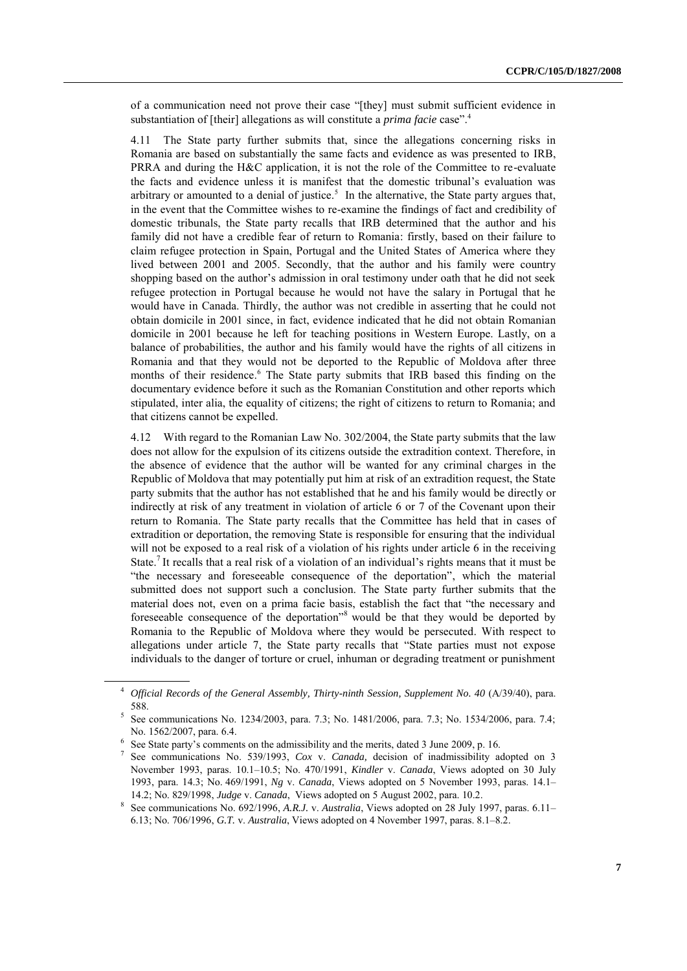of a communication need not prove their case "[they] must submit sufficient evidence in substantiation of [their] allegations as will constitute a *prima facie* case".<sup>4</sup>

4.11 The State party further submits that, since the allegations concerning risks in Romania are based on substantially the same facts and evidence as was presented to IRB, PRRA and during the H&C application, it is not the role of the Committee to re-evaluate the facts and evidence unless it is manifest that the domestic tribunal's evaluation was arbitrary or amounted to a denial of justice.<sup>5</sup> In the alternative, the State party argues that, in the event that the Committee wishes to re-examine the findings of fact and credibility of domestic tribunals, the State party recalls that IRB determined that the author and his family did not have a credible fear of return to Romania: firstly, based on their failure to claim refugee protection in Spain, Portugal and the United States of America where they lived between 2001 and 2005. Secondly, that the author and his family were country shopping based on the author's admission in oral testimony under oath that he did not seek refugee protection in Portugal because he would not have the salary in Portugal that he would have in Canada. Thirdly, the author was not credible in asserting that he could not obtain domicile in 2001 since, in fact, evidence indicated that he did not obtain Romanian domicile in 2001 because he left for teaching positions in Western Europe. Lastly, on a balance of probabilities, the author and his family would have the rights of all citizens in Romania and that they would not be deported to the Republic of Moldova after three months of their residence. <sup>6</sup> The State party submits that IRB based this finding on the documentary evidence before it such as the Romanian Constitution and other reports which stipulated, inter alia, the equality of citizens; the right of citizens to return to Romania; and that citizens cannot be expelled.

4.12 With regard to the Romanian Law No. 302/2004, the State party submits that the law does not allow for the expulsion of its citizens outside the extradition context. Therefore, in the absence of evidence that the author will be wanted for any criminal charges in the Republic of Moldova that may potentially put him at risk of an extradition request, the State party submits that the author has not established that he and his family would be directly or indirectly at risk of any treatment in violation of article 6 or 7 of the Covenant upon their return to Romania. The State party recalls that the Committee has held that in cases of extradition or deportation, the removing State is responsible for ensuring that the individual will not be exposed to a real risk of a violation of his rights under article 6 in the receiving State.<sup>7</sup> It recalls that a real risk of a violation of an individual's rights means that it must be "the necessary and foreseeable consequence of the deportation", which the material submitted does not support such a conclusion. The State party further submits that the material does not, even on a prima facie basis, establish the fact that "the necessary and foreseeable consequence of the deportation"<sup>8</sup> would be that they would be deported by Romania to the Republic of Moldova where they would be persecuted. With respect to allegations under article 7, the State party recalls that "State parties must not expose individuals to the danger of torture or cruel, inhuman or degrading treatment or punishment

<sup>4</sup> *Official Records of the General Assembly, Thirty-ninth Session, Supplement No. 40* (A/39/40), para. 588.

<sup>5</sup> See communications No. 1234/2003, para. 7.3; No. 1481/2006, para. 7.3; No. 1534/2006, para. 7.4; No. 1562/2007, para. 6.4.

<sup>&</sup>lt;sup>6</sup> See State party's comments on the admissibility and the merits, dated 3 June 2009, p. 16.

<sup>7</sup> See communications No. 539/1993, *Cox* v. *Canada,* decision of inadmissibility adopted on 3 November 1993, paras. 10.1–10.5; No. 470/1991, *Kindler* v. *Canada*, Views adopted on 30 July 1993, para. 14.3; No. 469/1991, *Ng* v. *Canada*, Views adopted on 5 November 1993, paras. 14.1– 14.2; No. 829/1998, *Judge* v. *Canada*, Views adopted on 5 August 2002, para. 10.2.

<sup>8</sup> See communications No. 692/1996, *A.R.J.* v. *Australia*, Views adopted on 28 July 1997, paras. 6.11– 6.13; No. 706/1996, *G.T.* v. *Australia*, Views adopted on 4 November 1997, paras. 8.1–8.2.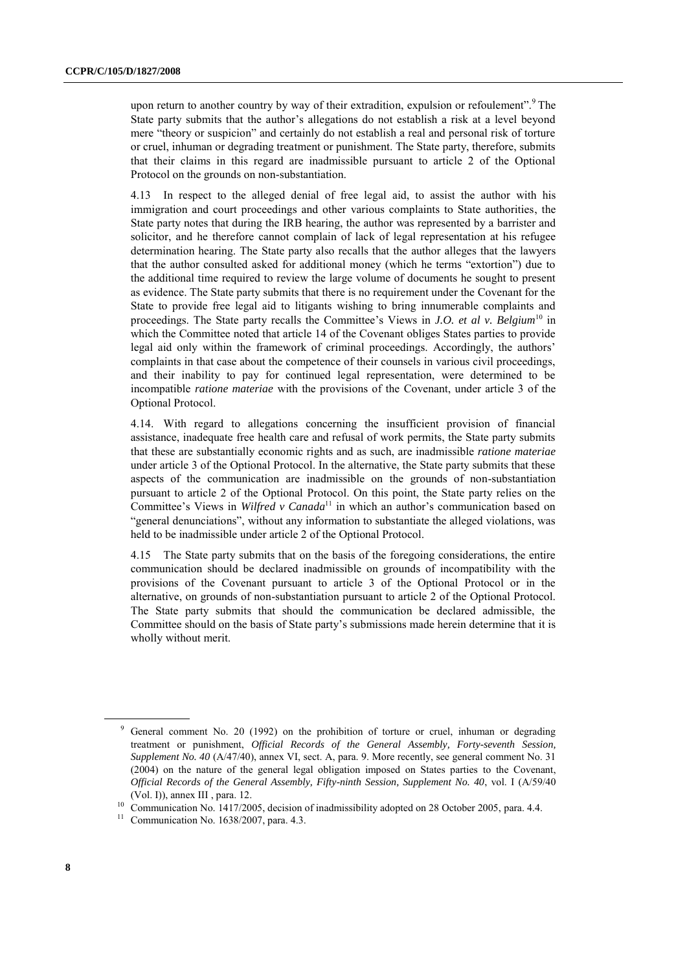upon return to another country by way of their extradition, expulsion or refoulement".<sup>9</sup> The State party submits that the author's allegations do not establish a risk at a level beyond mere "theory or suspicion" and certainly do not establish a real and personal risk of torture or cruel, inhuman or degrading treatment or punishment. The State party, therefore, submits that their claims in this regard are inadmissible pursuant to article 2 of the Optional Protocol on the grounds on non-substantiation.

4.13 In respect to the alleged denial of free legal aid, to assist the author with his immigration and court proceedings and other various complaints to State authorities, the State party notes that during the IRB hearing, the author was represented by a barrister and solicitor, and he therefore cannot complain of lack of legal representation at his refugee determination hearing. The State party also recalls that the author alleges that the lawyers that the author consulted asked for additional money (which he terms "extortion") due to the additional time required to review the large volume of documents he sought to present as evidence. The State party submits that there is no requirement under the Covenant for the State to provide free legal aid to litigants wishing to bring innumerable complaints and proceedings. The State party recalls the Committee's Views in *J.O. et al v. Belgium*<sup>10</sup> in which the Committee noted that article 14 of the Covenant obliges States parties to provide legal aid only within the framework of criminal proceedings. Accordingly, the authors' complaints in that case about the competence of their counsels in various civil proceedings, and their inability to pay for continued legal representation, were determined to be incompatible *ratione materiae* with the provisions of the Covenant, under article 3 of the Optional Protocol.

4.14. With regard to allegations concerning the insufficient provision of financial assistance, inadequate free health care and refusal of work permits, the State party submits that these are substantially economic rights and as such, are inadmissible *ratione materiae* under article 3 of the Optional Protocol. In the alternative, the State party submits that these aspects of the communication are inadmissible on the grounds of non-substantiation pursuant to article 2 of the Optional Protocol. On this point, the State party relies on the Committee's Views in *Wilfred v Canada*<sup>11</sup> in which an author's communication based on "general denunciations", without any information to substantiate the alleged violations, was held to be inadmissible under article 2 of the Optional Protocol.

4.15 The State party submits that on the basis of the foregoing considerations, the entire communication should be declared inadmissible on grounds of incompatibility with the provisions of the Covenant pursuant to article 3 of the Optional Protocol or in the alternative, on grounds of non-substantiation pursuant to article 2 of the Optional Protocol. The State party submits that should the communication be declared admissible, the Committee should on the basis of State party's submissions made herein determine that it is wholly without merit.

<sup>9</sup> General comment No. 20 (1992) on the prohibition of torture or cruel, inhuman or degrading treatment or punishment, *Official Records of the General Assembly, Forty-seventh Session, Supplement No. 40* (A/47/40), annex VI, sect. A, para. 9. More recently, see general comment No. 31 (2004) on the nature of the general legal obligation imposed on States parties to the Covenant, *Official Records of the General Assembly, Fifty-ninth Session, Supplement No. 40*, vol. I (A/59/40 (Vol. I)), annex III , para. 12.

<sup>&</sup>lt;sup>10</sup> Communication No. 1417/2005, decision of inadmissibility adopted on 28 October 2005, para. 4.4.

 $11$  Communication No. 1638/2007, para. 4.3.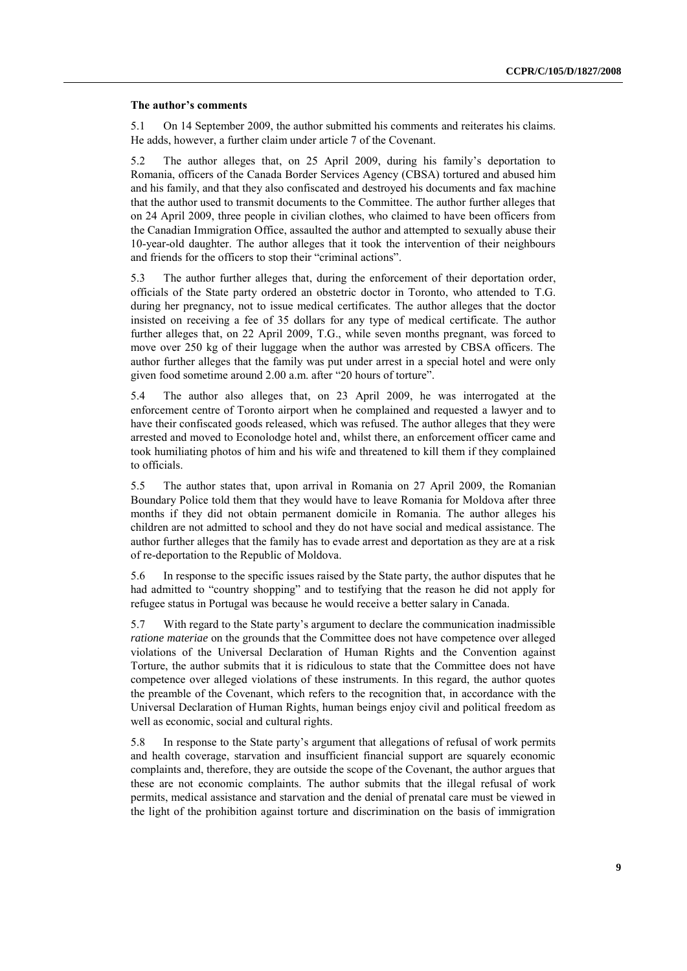#### **The author's comments**

5.1 On 14 September 2009, the author submitted his comments and reiterates his claims. He adds, however, a further claim under article 7 of the Covenant.

5.2 The author alleges that, on 25 April 2009, during his family's deportation to Romania, officers of the Canada Border Services Agency (CBSA) tortured and abused him and his family, and that they also confiscated and destroyed his documents and fax machine that the author used to transmit documents to the Committee. The author further alleges that on 24 April 2009, three people in civilian clothes, who claimed to have been officers from the Canadian Immigration Office, assaulted the author and attempted to sexually abuse their 10-year-old daughter. The author alleges that it took the intervention of their neighbours and friends for the officers to stop their "criminal actions".

5.3 The author further alleges that, during the enforcement of their deportation order, officials of the State party ordered an obstetric doctor in Toronto, who attended to T.G. during her pregnancy, not to issue medical certificates. The author alleges that the doctor insisted on receiving a fee of 35 dollars for any type of medical certificate. The author further alleges that, on 22 April 2009, T.G., while seven months pregnant, was forced to move over 250 kg of their luggage when the author was arrested by CBSA officers. The author further alleges that the family was put under arrest in a special hotel and were only given food sometime around 2.00 a.m. after "20 hours of torture".

5.4 The author also alleges that, on 23 April 2009, he was interrogated at the enforcement centre of Toronto airport when he complained and requested a lawyer and to have their confiscated goods released, which was refused. The author alleges that they were arrested and moved to Econolodge hotel and, whilst there, an enforcement officer came and took humiliating photos of him and his wife and threatened to kill them if they complained to officials.

5.5 The author states that, upon arrival in Romania on 27 April 2009, the Romanian Boundary Police told them that they would have to leave Romania for Moldova after three months if they did not obtain permanent domicile in Romania. The author alleges his children are not admitted to school and they do not have social and medical assistance. The author further alleges that the family has to evade arrest and deportation as they are at a risk of re-deportation to the Republic of Moldova.

5.6 In response to the specific issues raised by the State party, the author disputes that he had admitted to "country shopping" and to testifying that the reason he did not apply for refugee status in Portugal was because he would receive a better salary in Canada.

5.7 With regard to the State party's argument to declare the communication inadmissible *ratione materiae* on the grounds that the Committee does not have competence over alleged violations of the Universal Declaration of Human Rights and the Convention against Torture, the author submits that it is ridiculous to state that the Committee does not have competence over alleged violations of these instruments. In this regard, the author quotes the preamble of the Covenant, which refers to the recognition that, in accordance with the Universal Declaration of Human Rights, human beings enjoy civil and political freedom as well as economic, social and cultural rights.

5.8 In response to the State party's argument that allegations of refusal of work permits and health coverage, starvation and insufficient financial support are squarely economic complaints and, therefore, they are outside the scope of the Covenant, the author argues that these are not economic complaints. The author submits that the illegal refusal of work permits, medical assistance and starvation and the denial of prenatal care must be viewed in the light of the prohibition against torture and discrimination on the basis of immigration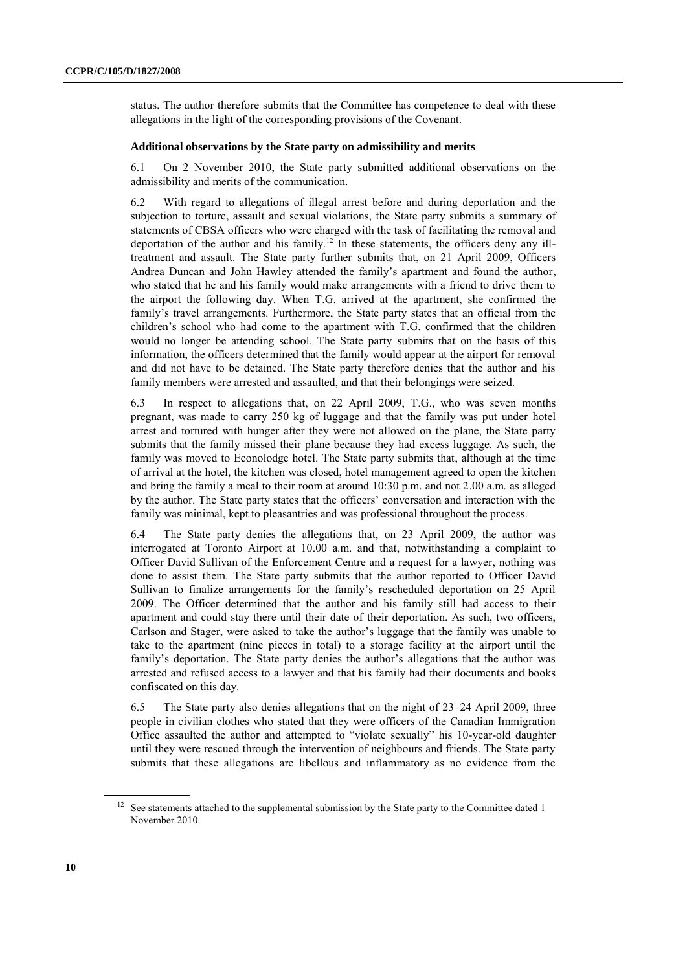status. The author therefore submits that the Committee has competence to deal with these allegations in the light of the corresponding provisions of the Covenant.

#### **Additional observations by the State party on admissibility and merits**

6.1 On 2 November 2010, the State party submitted additional observations on the admissibility and merits of the communication.

6.2 With regard to allegations of illegal arrest before and during deportation and the subjection to torture, assault and sexual violations, the State party submits a summary of statements of CBSA officers who were charged with the task of facilitating the removal and deportation of the author and his family.<sup>12</sup> In these statements, the officers deny any illtreatment and assault. The State party further submits that, on 21 April 2009, Officers Andrea Duncan and John Hawley attended the family's apartment and found the author, who stated that he and his family would make arrangements with a friend to drive them to the airport the following day. When T.G. arrived at the apartment, she confirmed the family's travel arrangements. Furthermore, the State party states that an official from the children's school who had come to the apartment with T.G. confirmed that the children would no longer be attending school. The State party submits that on the basis of this information, the officers determined that the family would appear at the airport for removal and did not have to be detained. The State party therefore denies that the author and his family members were arrested and assaulted, and that their belongings were seized.

6.3 In respect to allegations that, on 22 April 2009, T.G., who was seven months pregnant, was made to carry 250 kg of luggage and that the family was put under hotel arrest and tortured with hunger after they were not allowed on the plane, the State party submits that the family missed their plane because they had excess luggage. As such, the family was moved to Econolodge hotel. The State party submits that, although at the time of arrival at the hotel, the kitchen was closed, hotel management agreed to open the kitchen and bring the family a meal to their room at around 10:30 p.m. and not 2.00 a.m. as alleged by the author. The State party states that the officers' conversation and interaction with the family was minimal, kept to pleasantries and was professional throughout the process.

6.4 The State party denies the allegations that, on 23 April 2009, the author was interrogated at Toronto Airport at 10.00 a.m. and that, notwithstanding a complaint to Officer David Sullivan of the Enforcement Centre and a request for a lawyer, nothing was done to assist them. The State party submits that the author reported to Officer David Sullivan to finalize arrangements for the family's rescheduled deportation on 25 April 2009. The Officer determined that the author and his family still had access to their apartment and could stay there until their date of their deportation. As such, two officers, Carlson and Stager, were asked to take the author's luggage that the family was unable to take to the apartment (nine pieces in total) to a storage facility at the airport until the family's deportation. The State party denies the author's allegations that the author was arrested and refused access to a lawyer and that his family had their documents and books confiscated on this day.

6.5 The State party also denies allegations that on the night of 23–24 April 2009, three people in civilian clothes who stated that they were officers of the Canadian Immigration Office assaulted the author and attempted to "violate sexually" his 10-year-old daughter until they were rescued through the intervention of neighbours and friends. The State party submits that these allegations are libellous and inflammatory as no evidence from the

<sup>&</sup>lt;sup>12</sup> See statements attached to the supplemental submission by the State party to the Committee dated 1 November 2010.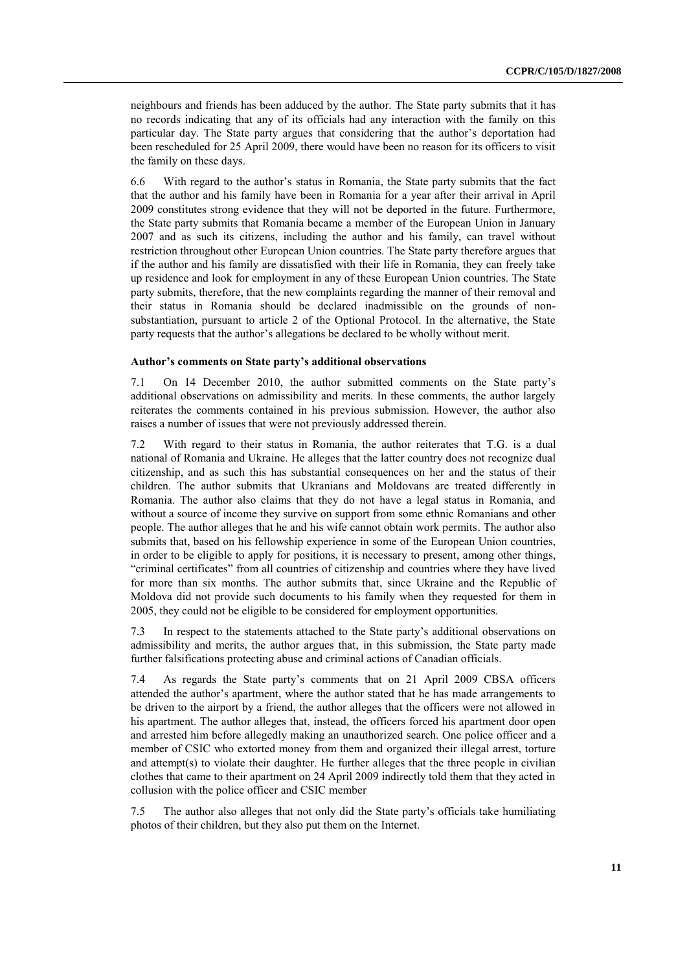neighbours and friends has been adduced by the author. The State party submits that it has no records indicating that any of its officials had any interaction with the family on this particular day. The State party argues that considering that the author's deportation had been rescheduled for 25 April 2009, there would have been no reason for its officers to visit the family on these days.

6.6 With regard to the author's status in Romania, the State party submits that the fact that the author and his family have been in Romania for a year after their arrival in April 2009 constitutes strong evidence that they will not be deported in the future. Furthermore, the State party submits that Romania became a member of the European Union in January 2007 and as such its citizens, including the author and his family, can travel without restriction throughout other European Union countries. The State party therefore argues that if the author and his family are dissatisfied with their life in Romania, they can freely take up residence and look for employment in any of these European Union countries. The State party submits, therefore, that the new complaints regarding the manner of their removal and their status in Romania should be declared inadmissible on the grounds of nonsubstantiation, pursuant to article 2 of the Optional Protocol. In the alternative, the State party requests that the author's allegations be declared to be wholly without merit.

#### **Author's comments on State party's additional observations**

7.1 On 14 December 2010, the author submitted comments on the State party's additional observations on admissibility and merits. In these comments, the author largely reiterates the comments contained in his previous submission. However, the author also raises a number of issues that were not previously addressed therein.

7.2 With regard to their status in Romania, the author reiterates that T.G. is a dual national of Romania and Ukraine. He alleges that the latter country does not recognize dual citizenship, and as such this has substantial consequences on her and the status of their children. The author submits that Ukranians and Moldovans are treated differently in Romania. The author also claims that they do not have a legal status in Romania, and without a source of income they survive on support from some ethnic Romanians and other people. The author alleges that he and his wife cannot obtain work permits. The author also submits that, based on his fellowship experience in some of the European Union countries, in order to be eligible to apply for positions, it is necessary to present, among other things, "criminal certificates" from all countries of citizenship and countries where they have lived for more than six months. The author submits that, since Ukraine and the Republic of Moldova did not provide such documents to his family when they requested for them in 2005, they could not be eligible to be considered for employment opportunities.

7.3 In respect to the statements attached to the State party's additional observations on admissibility and merits, the author argues that, in this submission, the State party made further falsifications protecting abuse and criminal actions of Canadian officials.

7.4 As regards the State party's comments that on 21 April 2009 CBSA officers attended the author's apartment, where the author stated that he has made arrangements to be driven to the airport by a friend, the author alleges that the officers were not allowed in his apartment. The author alleges that, instead, the officers forced his apartment door open and arrested him before allegedly making an unauthorized search. One police officer and a member of CSIC who extorted money from them and organized their illegal arrest, torture and attempt(s) to violate their daughter. He further alleges that the three people in civilian clothes that came to their apartment on 24 April 2009 indirectly told them that they acted in collusion with the police officer and CSIC member

7.5 The author also alleges that not only did the State party's officials take humiliating photos of their children, but they also put them on the Internet.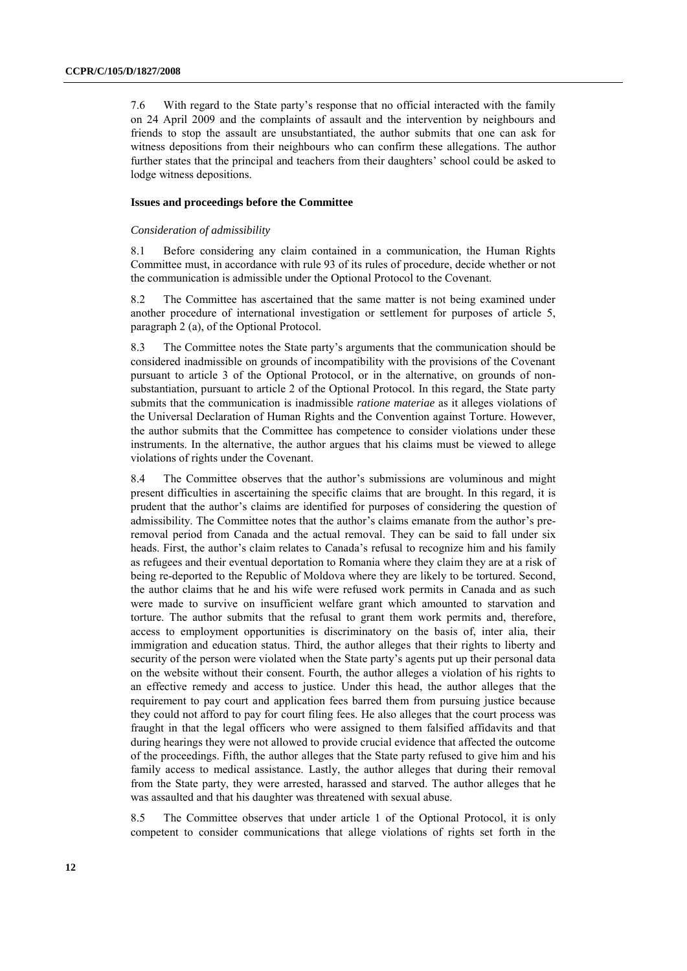7.6 With regard to the State party's response that no official interacted with the family on 24 April 2009 and the complaints of assault and the intervention by neighbours and friends to stop the assault are unsubstantiated, the author submits that one can ask for witness depositions from their neighbours who can confirm these allegations. The author further states that the principal and teachers from their daughters' school could be asked to lodge witness depositions.

#### **Issues and proceedings before the Committee**

#### *Consideration of admissibility*

8.1 Before considering any claim contained in a communication, the Human Rights Committee must, in accordance with rule 93 of its rules of procedure, decide whether or not the communication is admissible under the Optional Protocol to the Covenant.

8.2 The Committee has ascertained that the same matter is not being examined under another procedure of international investigation or settlement for purposes of article 5, paragraph 2 (a), of the Optional Protocol.

8.3 The Committee notes the State party's arguments that the communication should be considered inadmissible on grounds of incompatibility with the provisions of the Covenant pursuant to article 3 of the Optional Protocol, or in the alternative, on grounds of nonsubstantiation, pursuant to article 2 of the Optional Protocol. In this regard, the State party submits that the communication is inadmissible *ratione materiae* as it alleges violations of the Universal Declaration of Human Rights and the Convention against Torture. However, the author submits that the Committee has competence to consider violations under these instruments. In the alternative, the author argues that his claims must be viewed to allege violations of rights under the Covenant.

8.4 The Committee observes that the author's submissions are voluminous and might present difficulties in ascertaining the specific claims that are brought. In this regard, it is prudent that the author's claims are identified for purposes of considering the question of admissibility. The Committee notes that the author's claims emanate from the author's preremoval period from Canada and the actual removal. They can be said to fall under six heads. First, the author's claim relates to Canada's refusal to recognize him and his family as refugees and their eventual deportation to Romania where they claim they are at a risk of being re-deported to the Republic of Moldova where they are likely to be tortured. Second, the author claims that he and his wife were refused work permits in Canada and as such were made to survive on insufficient welfare grant which amounted to starvation and torture. The author submits that the refusal to grant them work permits and, therefore, access to employment opportunities is discriminatory on the basis of, inter alia, their immigration and education status. Third, the author alleges that their rights to liberty and security of the person were violated when the State party's agents put up their personal data on the website without their consent. Fourth, the author alleges a violation of his rights to an effective remedy and access to justice. Under this head, the author alleges that the requirement to pay court and application fees barred them from pursuing justice because they could not afford to pay for court filing fees. He also alleges that the court process was fraught in that the legal officers who were assigned to them falsified affidavits and that during hearings they were not allowed to provide crucial evidence that affected the outcome of the proceedings. Fifth, the author alleges that the State party refused to give him and his family access to medical assistance. Lastly, the author alleges that during their removal from the State party, they were arrested, harassed and starved. The author alleges that he was assaulted and that his daughter was threatened with sexual abuse.

8.5 The Committee observes that under article 1 of the Optional Protocol, it is only competent to consider communications that allege violations of rights set forth in the